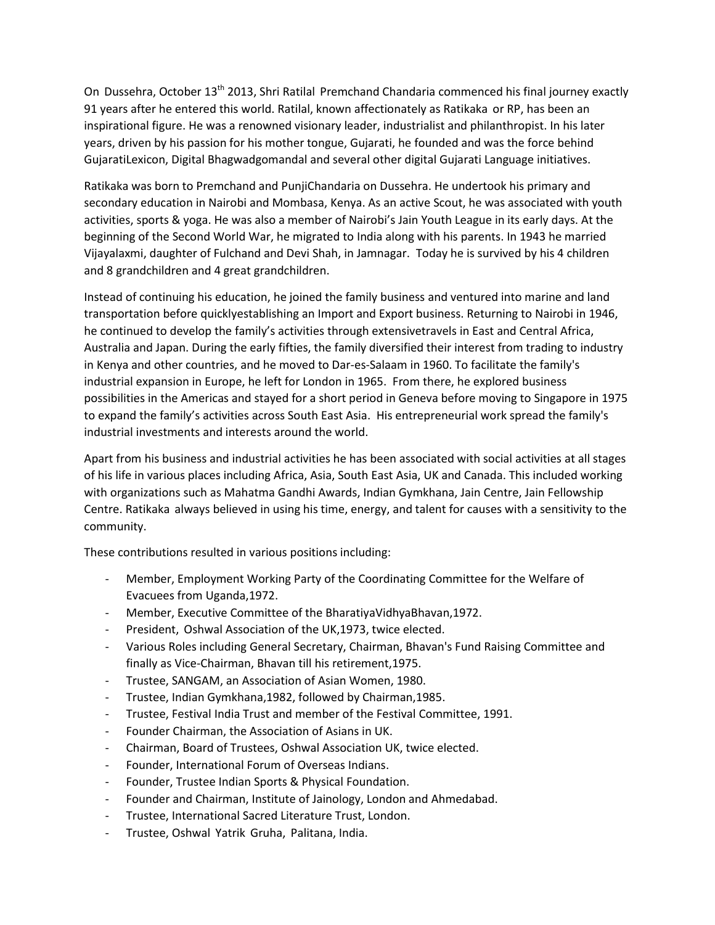On Dussehra, October 13<sup>th</sup> 2013, Shri Ratilal Premchand Chandaria commenced his final journey exactly 91 years after he entered this world. Ratilal, known affectionately as Ratikaka or RP, has been an inspirational figure. He was a renowned visionary leader, industrialist and philanthropist. In his later years, driven by his passion for his mother tongue, Gujarati, he founded and was the force behind GujaratiLexicon, Digital Bhagwadgomandal and several other digital Gujarati Language initiatives.

Ratikaka was born to Premchand and PunjiChandaria on Dussehra. He undertook his primary and secondary education in Nairobi and Mombasa, Kenya. As an active Scout, he was associated with youth activities, sports & yoga. He was also a member of Nairobi's Jain Youth League in its early days. At the beginning of the Second World War, he migrated to India along with his parents. In 1943 he married Vijayalaxmi, daughter of Fulchand and Devi Shah, in Jamnagar. Today he is survived by his 4 children and 8 grandchildren and 4 great grandchildren.

Instead of continuing his education, he joined the family business and ventured into marine and land transportation before quicklyestablishing an Import and Export business. Returning to Nairobi in 1946, he continued to develop the family's activities through extensivetravels in East and Central Africa, Australia and Japan. During the early fifties, the family diversified their interest from trading to industry in Kenya and other countries, and he moved to Dar-es-Salaam in 1960. To facilitate the family's industrial expansion in Europe, he left for London in 1965. From there, he explored business possibilities in the Americas and stayed for a short period in Geneva before moving to Singapore in 1975 to expand the family's activities across South East Asia. His entrepreneurial work spread the family's industrial investments and interests around the world.

Apart from his business and industrial activities he has been associated with social activities at all stages of his life in various places including Africa, Asia, South East Asia, UK and Canada. This included working with organizations such as Mahatma Gandhi Awards, Indian Gymkhana, Jain Centre, Jain Fellowship Centre. Ratikaka always believed in using his time, energy, and talent for causes with a sensitivity to the community.

These contributions resulted in various positions including:

- Member, Employment Working Party of the Coordinating Committee for the Welfare of Evacuees from Uganda,1972.
- Member, Executive Committee of the BharatiyaVidhyaBhavan,1972.
- President, Oshwal Association of the UK,1973, twice elected.
- Various Roles including General Secretary, Chairman, Bhavan's Fund Raising Committee and finally as Vice-Chairman, Bhavan till his retirement,1975.
- Trustee, SANGAM, an Association of Asian Women, 1980.
- Trustee, Indian Gymkhana,1982, followed by Chairman,1985.
- Trustee, Festival India Trust and member of the Festival Committee, 1991.
- Founder Chairman, the Association of Asians in UK.
- Chairman, Board of Trustees, Oshwal Association UK, twice elected.
- Founder, International Forum of Overseas Indians.
- Founder, Trustee Indian Sports & Physical Foundation.
- Founder and Chairman, Institute of Jainology, London and Ahmedabad.
- Trustee, International Sacred Literature Trust, London.
- Trustee, Oshwal Yatrik Gruha, Palitana, India.